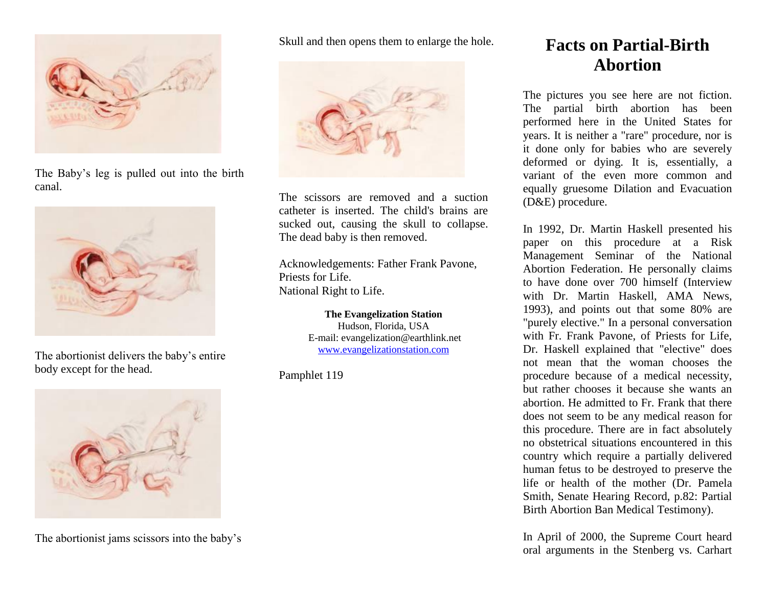

The Baby's leg is pulled out into the birth canal.



The abortionist delivers the baby's entire body except for the head.



The abortionist jams scissors into the baby's

Skull and then opens them to enlarge the hole.



The scissors are removed and a suction catheter is inserted. The child's brains are sucked out, causing the skull to collapse. The dead baby is then removed.

Acknowledgements: Father Frank Pavone, Priests for Life. National Right to Life.

> **The Evangelization Station** Hudson, Florida, USA E-mail: evangelization@earthlink.net [www.evangelizationstation.com](http://www.pjpiisoe.org/)

Pamphlet 119

## **Facts on Partial-Birth Abortion**

The pictures you see here are not fiction. The partial birth abortion has been performed here in the United States for years. It is neither a "rare" procedure, nor is it done only for babies who are severely deformed or dying. It is, essentially, a variant of the even more common and equally gruesome Dilation and Evacuation (D&E) procedure.

In 1992, Dr. Martin Haskell presented his paper on this procedure at a Risk Management Seminar of the National Abortion Federation. He personally claims to have done over 700 himself (Interview with Dr. Martin Haskell, AMA News, 1993), and points out that some 80% are "purely elective." In a personal conversation with Fr. Frank Pavone, of Priests for Life, Dr. Haskell explained that "elective" does not mean that the woman chooses the procedure because of a medical necessity, but rather chooses it because she wants an abortion. He admitted to Fr. Frank that there does not seem to be any medical reason for this procedure. There are in fact absolutely no obstetrical situations encountered in this country which require a partially delivered human fetus to be destroyed to preserve the life or health of the mother (Dr. Pamela Smith, Senate Hearing Record, p.82: Partial Birth Abortion Ban Medical Testimony).

In April of 2000, the Supreme Court heard oral arguments in the Stenberg vs. Carhart